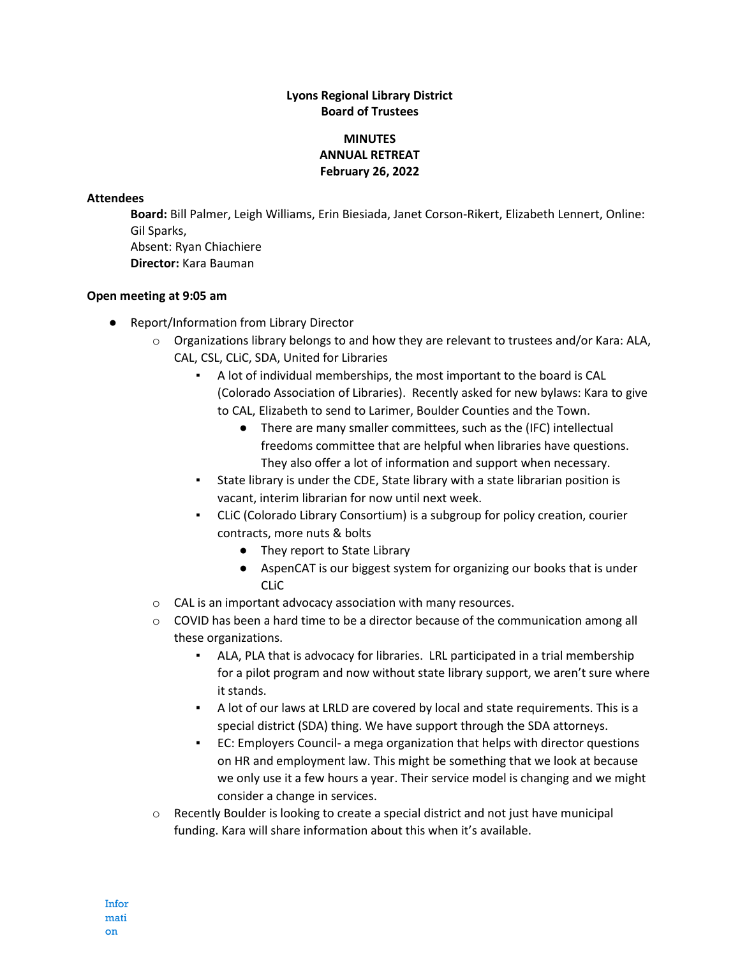## **Lyons Regional Library District Board of Trustees**

## **MINUTES ANNUAL RETREAT February 26, 2022**

## **Attendees**

**Board:** Bill Palmer, Leigh Williams, Erin Biesiada, Janet Corson-Rikert, Elizabeth Lennert, Online: Gil Sparks,

Absent: Ryan Chiachiere **Director:** Kara Bauman

## **Open meeting at 9:05 am**

- Report/Information from Library Director
	- $\circ$  Organizations library belongs to and how they are relevant to trustees and/or Kara: ALA, CAL, CSL, CLiC, SDA, United for Libraries
		- A lot of individual memberships, the most important to the board is CAL (Colorado Association of Libraries). Recently asked for new bylaws: Kara to give to CAL, Elizabeth to send to Larimer, Boulder Counties and the Town.
			- There are many smaller committees, such as the (IFC) intellectual freedoms committee that are helpful when libraries have questions. They also offer a lot of information and support when necessary.
		- State library is under the CDE, State library with a state librarian position is vacant, interim librarian for now until next week.
		- CLiC (Colorado Library Consortium) is a subgroup for policy creation, courier contracts, more nuts & bolts
			- They report to State Library
			- AspenCAT is our biggest system for organizing our books that is under CLiC
	- o CAL is an important advocacy association with many resources.
	- $\circ$  COVID has been a hard time to be a director because of the communication among all these organizations.
		- ALA, PLA that is advocacy for libraries. LRL participated in a trial membership for a pilot program and now without state library support, we aren't sure where it stands.
		- A lot of our laws at LRLD are covered by local and state requirements. This is a special district (SDA) thing. We have support through the SDA attorneys.
		- EC: Employers Council- a mega organization that helps with director questions on HR and employment law. This might be something that we look at because we only use it a few hours a year. Their service model is changing and we might consider a change in services.
	- $\circ$  Recently Boulder is looking to create a special district and not just have municipal funding. Kara will share information about this when it's available.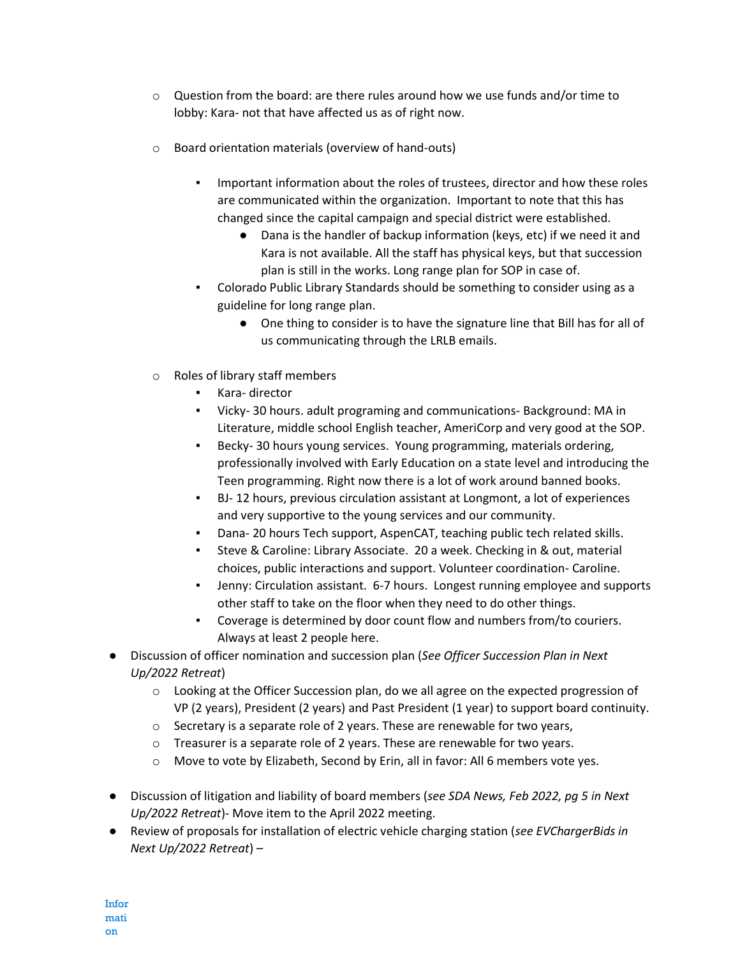- $\circ$  Question from the board: are there rules around how we use funds and/or time to lobby: Kara- not that have affected us as of right now.
- o Board orientation materials (overview of hand-outs)
	- Important information about the roles of trustees, director and how these roles are communicated within the organization. Important to note that this has changed since the capital campaign and special district were established.
		- Dana is the handler of backup information (keys, etc) if we need it and Kara is not available. All the staff has physical keys, but that succession plan is still in the works. Long range plan for SOP in case of.
	- Colorado Public Library Standards should be something to consider using as a guideline for long range plan.
		- One thing to consider is to have the signature line that Bill has for all of us communicating through the LRLB emails.
- o Roles of library staff members
	- Kara- director
	- Vicky- 30 hours. adult programing and communications- Background: MA in Literature, middle school English teacher, AmeriCorp and very good at the SOP.
	- Becky- 30 hours young services. Young programming, materials ordering, professionally involved with Early Education on a state level and introducing the Teen programming. Right now there is a lot of work around banned books.
	- BJ- 12 hours, previous circulation assistant at Longmont, a lot of experiences and very supportive to the young services and our community.
	- Dana- 20 hours Tech support, AspenCAT, teaching public tech related skills.
	- Steve & Caroline: Library Associate. 20 a week. Checking in & out, material choices, public interactions and support. Volunteer coordination- Caroline.
	- Jenny: Circulation assistant. 6-7 hours. Longest running employee and supports other staff to take on the floor when they need to do other things.
	- Coverage is determined by door count flow and numbers from/to couriers. Always at least 2 people here.
- Discussion of officer nomination and succession plan (*See Officer Succession Plan in Next Up/2022 Retreat*)
	- o Looking at the Officer Succession plan, do we all agree on the expected progression of VP (2 years), President (2 years) and Past President (1 year) to support board continuity.
	- $\circ$  Secretary is a separate role of 2 years. These are renewable for two years,
	- o Treasurer is a separate role of 2 years. These are renewable for two years.
	- o Move to vote by Elizabeth, Second by Erin, all in favor: All 6 members vote yes.
- Discussion of litigation and liability of board members (*see SDA News, Feb 2022, pg 5 in Next Up/2022 Retreat*)- Move item to the April 2022 meeting.
- Review of proposals for installation of electric vehicle charging station (*see EVChargerBids in Next Up/2022 Retreat*) –

Infor mati on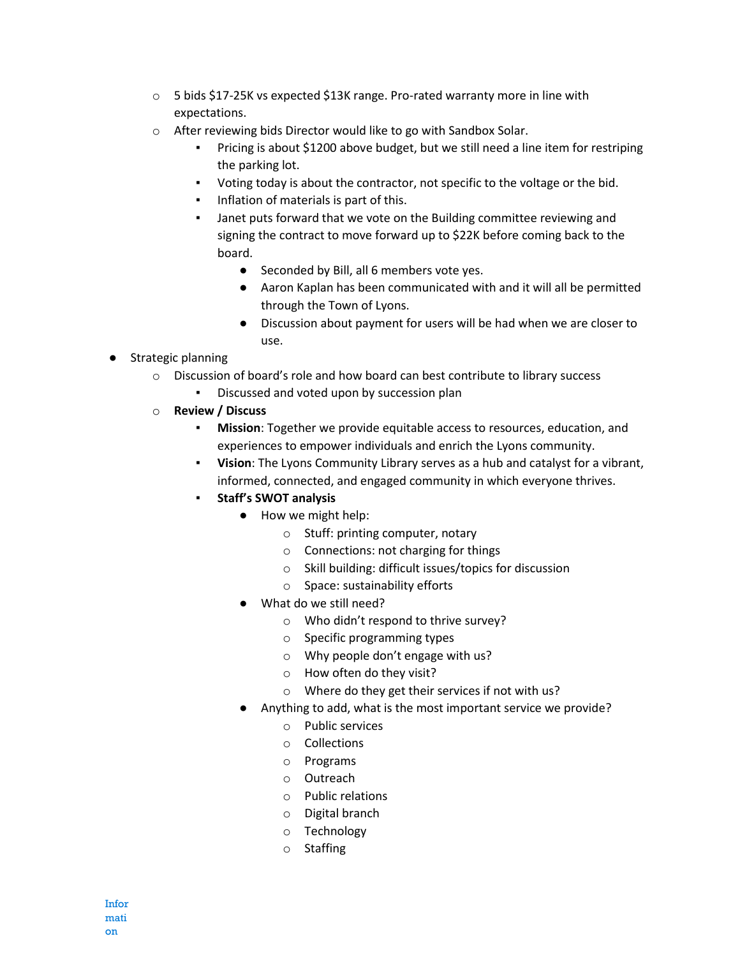- $\circ$  5 bids \$17-25K vs expected \$13K range. Pro-rated warranty more in line with expectations.
- o After reviewing bids Director would like to go with Sandbox Solar.
	- Pricing is about \$1200 above budget, but we still need a line item for restriping the parking lot.
	- Voting today is about the contractor, not specific to the voltage or the bid.
	- **•** Inflation of materials is part of this.
	- Janet puts forward that we vote on the Building committee reviewing and signing the contract to move forward up to \$22K before coming back to the board.
		- Seconded by Bill, all 6 members vote yes.
		- Aaron Kaplan has been communicated with and it will all be permitted through the Town of Lyons.
		- Discussion about payment for users will be had when we are closer to use.
- Strategic planning
	- o Discussion of board's role and how board can best contribute to library success
		- Discussed and voted upon by succession plan
	- o **Review / Discuss**
		- **Mission**: Together we provide equitable access to resources, education, and experiences to empower individuals and enrich the Lyons community.
		- **Vision**: The Lyons Community Library serves as a hub and catalyst for a vibrant, informed, connected, and engaged community in which everyone thrives.
		- **Staff's SWOT analysis** 
			- How we might help:
				- o Stuff: printing computer, notary
				- o Connections: not charging for things
				- o Skill building: difficult issues/topics for discussion
				- o Space: sustainability efforts
			- What do we still need?
				- o Who didn't respond to thrive survey?
				- o Specific programming types
				- o Why people don't engage with us?
				- o How often do they visit?
				- o Where do they get their services if not with us?
			- Anything to add, what is the most important service we provide?
				- o Public services
				- o Collections
				- o Programs
				- o Outreach
				- o Public relations
				- o Digital branch
				- o Technology
				- o Staffing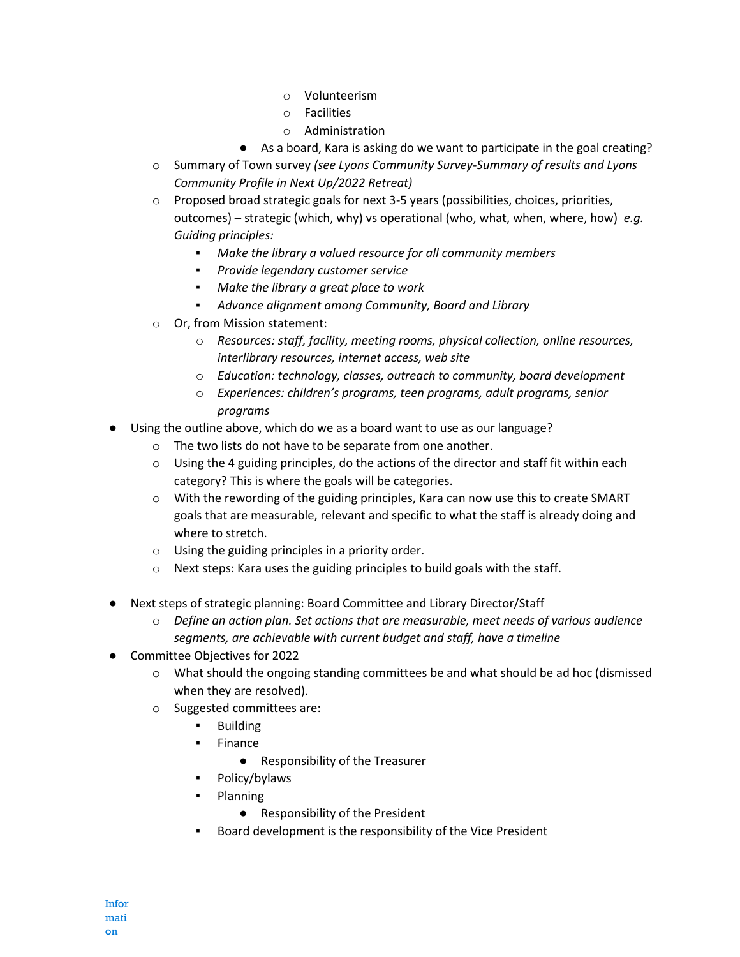- o Volunteerism
- o Facilities
- o Administration
- As a board, Kara is asking do we want to participate in the goal creating?
- o Summary of Town survey *(see Lyons Community Survey-Summary of results and Lyons Community Profile in Next Up/2022 Retreat)*
- $\circ$  Proposed broad strategic goals for next 3-5 years (possibilities, choices, priorities, outcomes) – strategic (which, why) vs operational (who, what, when, where, how) *e.g. Guiding principles:*
	- *Make the library a valued resource for all community members*
	- *Provide legendary customer service*
	- *Make the library a great place to work*
	- *Advance alignment among Community, Board and Library*
- o Or, from Mission statement:
	- o *Resources: staff, facility, meeting rooms, physical collection, online resources, interlibrary resources, internet access, web site*
	- o *Education: technology, classes, outreach to community, board development*
	- o *Experiences: children's programs, teen programs, adult programs, senior programs*
- Using the outline above, which do we as a board want to use as our language?
	- o The two lists do not have to be separate from one another.
	- $\circ$  Using the 4 guiding principles, do the actions of the director and staff fit within each category? This is where the goals will be categories.
	- $\circ$  With the rewording of the guiding principles, Kara can now use this to create SMART goals that are measurable, relevant and specific to what the staff is already doing and where to stretch.
	- o Using the guiding principles in a priority order.
	- o Next steps: Kara uses the guiding principles to build goals with the staff.
- Next steps of strategic planning: Board Committee and Library Director/Staff
	- o *Define an action plan. Set actions that are measurable, meet needs of various audience segments, are achievable with current budget and staff, have a timeline*
- Committee Objectives for 2022
	- o What should the ongoing standing committees be and what should be ad hoc (dismissed when they are resolved).
	- o Suggested committees are:
		- **Building**
		- **Finance** 
			- Responsibility of the Treasurer
		- Policy/bylaws
		- **Planning** 
			- Responsibility of the President
		- Board development is the responsibility of the Vice President